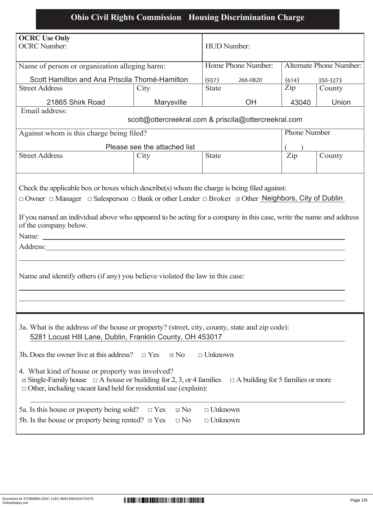## **Ohio Civil Rights Commission Housing Discrimination Charge**

| <b>OCRC Use Only</b>                                                                                                            |                                                                                             |                                               |    |                   |        |  |  |
|---------------------------------------------------------------------------------------------------------------------------------|---------------------------------------------------------------------------------------------|-----------------------------------------------|----|-------------------|--------|--|--|
| <b>OCRC</b> Number:                                                                                                             |                                                                                             | <b>HUD</b> Number:                            |    |                   |        |  |  |
|                                                                                                                                 |                                                                                             | Home Phone Number:<br>Alternate Phone Number: |    |                   |        |  |  |
| Name of person or organization alleging harm:                                                                                   |                                                                                             |                                               |    |                   |        |  |  |
| Scott Hamilton and Ana Priscila Thomé-Hamilton                                                                                  |                                                                                             | (937)<br>266-0820                             |    | (614)<br>350-3273 |        |  |  |
| <b>Street Address</b>                                                                                                           | City                                                                                        | <b>State</b>                                  |    | $\overline{Lip}$  | County |  |  |
| 21865 Shirk Road                                                                                                                | Marysville                                                                                  |                                               | OH | 43040             | Union  |  |  |
|                                                                                                                                 | Email address:                                                                              |                                               |    |                   |        |  |  |
| scott@ottercreekral.com & priscila@ottercreekral.com                                                                            |                                                                                             |                                               |    |                   |        |  |  |
| Against whom is this charge being filed?                                                                                        |                                                                                             | <b>Phone Number</b>                           |    |                   |        |  |  |
| Please see the attached list                                                                                                    |                                                                                             |                                               |    |                   |        |  |  |
| <b>Street Address</b>                                                                                                           | City                                                                                        | <b>State</b>                                  |    | $\mathbf{Zip}$    | County |  |  |
|                                                                                                                                 |                                                                                             |                                               |    |                   |        |  |  |
|                                                                                                                                 |                                                                                             |                                               |    |                   |        |  |  |
| Check the applicable box or boxes which describe(s) whom the charge is being filed against:                                     |                                                                                             |                                               |    |                   |        |  |  |
| $\Box$ Owner $\Box$ Manager $\Box$ Salesperson $\Box$ Bank or other Lender $\Box$ Broker $\Box$ Other Neighbors, City of Dublin |                                                                                             |                                               |    |                   |        |  |  |
|                                                                                                                                 |                                                                                             |                                               |    |                   |        |  |  |
| If you named an individual above who appeared to be acting for a company in this case, write the name and address               |                                                                                             |                                               |    |                   |        |  |  |
| of the company below.                                                                                                           |                                                                                             |                                               |    |                   |        |  |  |
|                                                                                                                                 |                                                                                             |                                               |    |                   |        |  |  |
| Address:                                                                                                                        |                                                                                             |                                               |    |                   |        |  |  |
|                                                                                                                                 |                                                                                             |                                               |    |                   |        |  |  |
|                                                                                                                                 |                                                                                             |                                               |    |                   |        |  |  |
| Name and identify others (if any) you believe violated the law in this case:                                                    |                                                                                             |                                               |    |                   |        |  |  |
|                                                                                                                                 |                                                                                             |                                               |    |                   |        |  |  |
|                                                                                                                                 |                                                                                             |                                               |    |                   |        |  |  |
|                                                                                                                                 |                                                                                             |                                               |    |                   |        |  |  |
|                                                                                                                                 |                                                                                             |                                               |    |                   |        |  |  |
| 3a. What is the address of the house or property? (street, city, county, state and zip code):                                   |                                                                                             |                                               |    |                   |        |  |  |
| 5281 Locust HIII Lane, Dublin, Franklin County, OH 453017                                                                       |                                                                                             |                                               |    |                   |        |  |  |
|                                                                                                                                 |                                                                                             |                                               |    |                   |        |  |  |
| 3b. Does the owner live at this address?<br>$\Box$ Unknown<br>$\Box$ Yes<br>$\boxtimes$ No                                      |                                                                                             |                                               |    |                   |        |  |  |
| 4. What kind of house or property was involved?                                                                                 |                                                                                             |                                               |    |                   |        |  |  |
| $\Box$ Single-Family house $\Box$ A house or building for 2, 3, or 4 families<br>$\Box$ A building for 5 families or more       |                                                                                             |                                               |    |                   |        |  |  |
| $\Box$ Other, including vacant land held for residential use (explain):                                                         |                                                                                             |                                               |    |                   |        |  |  |
|                                                                                                                                 |                                                                                             |                                               |    |                   |        |  |  |
|                                                                                                                                 | 5a. Is this house or property being sold?<br>$\Box$ Unknown<br>$\boxtimes$ No<br>$\Box$ Yes |                                               |    |                   |        |  |  |
| 5b. Is the house or property being rented? $\Box$ Yes<br>$\Box$ No<br>$\Box$ Unknown                                            |                                                                                             |                                               |    |                   |        |  |  |
|                                                                                                                                 |                                                                                             |                                               |    |                   |        |  |  |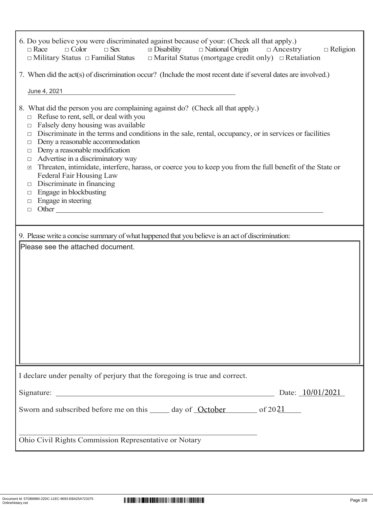| 6. Do you believe you were discriminated against because of your: (Check all that apply.)                                                               |  |  |  |  |  |  |  |
|---------------------------------------------------------------------------------------------------------------------------------------------------------|--|--|--|--|--|--|--|
| $\Box$ Disability<br>$\Box$ National Origin<br>$\Box$ Race<br>$\Box$ Color<br>$\Box$ Sex<br>$\Box$ Religion<br>$\Box$ Ancestry                          |  |  |  |  |  |  |  |
| $\Box$ Military Status $\Box$ Familial Status $\Box$ Marital Status (mortgage credit only) $\Box$ Retaliation                                           |  |  |  |  |  |  |  |
| 7. When did the act(s) of discrimination occur? (Include the most recent date if several dates are involved.)                                           |  |  |  |  |  |  |  |
| June 4, 2021                                                                                                                                            |  |  |  |  |  |  |  |
|                                                                                                                                                         |  |  |  |  |  |  |  |
| 8. What did the person you are complaining against do? (Check all that apply.)<br>Refuse to rent, sell, or deal with you                                |  |  |  |  |  |  |  |
| $\Box$<br>Falsely deny housing was available<br>$\Box$                                                                                                  |  |  |  |  |  |  |  |
| Discriminate in the terms and conditions in the sale, rental, occupancy, or in services or facilities<br>$\Box$                                         |  |  |  |  |  |  |  |
| Deny a reasonable accommodation<br>$\Box$                                                                                                               |  |  |  |  |  |  |  |
| Deny a reasonable modification<br>$\Box$<br>Advertise in a discriminatory way                                                                           |  |  |  |  |  |  |  |
| $\Box$<br>Threaten, intimidate, interfere, harass, or coerce you to keep you from the full benefit of the State or<br>$\sqrt{ }$                        |  |  |  |  |  |  |  |
| Federal Fair Housing Law                                                                                                                                |  |  |  |  |  |  |  |
| Discriminate in financing<br>$\Box$                                                                                                                     |  |  |  |  |  |  |  |
| Engage in blockbusting<br>$\Box$                                                                                                                        |  |  |  |  |  |  |  |
| Engage in steering<br>$\Box$<br>Other<br>$\Box$                                                                                                         |  |  |  |  |  |  |  |
|                                                                                                                                                         |  |  |  |  |  |  |  |
|                                                                                                                                                         |  |  |  |  |  |  |  |
| 9. Please write a concise summary of what happened that you believe is an act of discrimination:                                                        |  |  |  |  |  |  |  |
| Please see the attached document.                                                                                                                       |  |  |  |  |  |  |  |
|                                                                                                                                                         |  |  |  |  |  |  |  |
|                                                                                                                                                         |  |  |  |  |  |  |  |
|                                                                                                                                                         |  |  |  |  |  |  |  |
|                                                                                                                                                         |  |  |  |  |  |  |  |
|                                                                                                                                                         |  |  |  |  |  |  |  |
|                                                                                                                                                         |  |  |  |  |  |  |  |
|                                                                                                                                                         |  |  |  |  |  |  |  |
|                                                                                                                                                         |  |  |  |  |  |  |  |
|                                                                                                                                                         |  |  |  |  |  |  |  |
|                                                                                                                                                         |  |  |  |  |  |  |  |
|                                                                                                                                                         |  |  |  |  |  |  |  |
| I declare under penalty of perjury that the foregoing is true and correct.                                                                              |  |  |  |  |  |  |  |
| <u> 1989 - Johann Harry Harry Harry Harry Harry Harry Harry Harry Harry Harry Harry Harry Harry Harry Harry Harry</u><br>Date: 10/01/2021<br>Signature: |  |  |  |  |  |  |  |
| Sworn and subscribed before me on this ______ day of <u>October</u> ______ of 2021                                                                      |  |  |  |  |  |  |  |
|                                                                                                                                                         |  |  |  |  |  |  |  |
|                                                                                                                                                         |  |  |  |  |  |  |  |
| Ohio Civil Rights Commission Representative or Notary                                                                                                   |  |  |  |  |  |  |  |

 $\Gamma$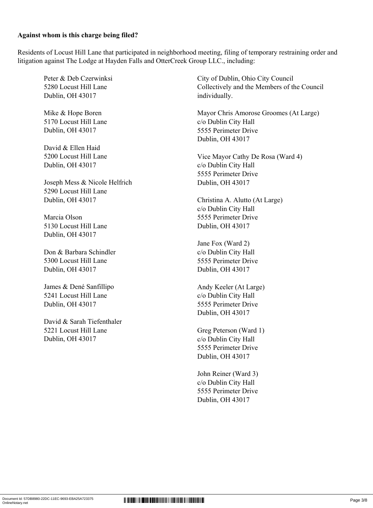## **Against whom is this charge being filed?**

Residents of Locust Hill Lane that participated in neighborhood meeting, filing of temporary restraining order and litigation against The Lodge at Hayden Falls and OtterCreek Group LLC., including:

Peter & Deb Czerwinksi 5280 Locust Hill Lane Dublin, OH 43017

Mike & Hope Boren 5170 Locust Hill Lane Dublin, OH 43017

David & Ellen Haid 5200 Locust Hill Lane Dublin, OH 43017

Joseph Mess & Nicole Helfrich 5290 Locust Hill Lane Dublin, OH 43017

Marcia Olson 5130 Locust Hill Lane Dublin, OH 43017

Don & Barbara Schindler 5300 Locust Hill Lane Dublin, OH 43017

James & Dené Sanfillipo 5241 Locust Hill Lane Dublin, OH 43017

David & Sarah Tiefenthaler 5221 Locust Hill Lane Dublin, OH 43017

City of Dublin, Ohio City Council Collectively and the Members of the Council individually.

Mayor Chris Amorose Groomes (At Large) c/o Dublin City Hall 5555 Perimeter Drive Dublin, OH 43017

Vice Mayor Cathy De Rosa (Ward 4) c/o Dublin City Hall 5555 Perimeter Drive Dublin, OH 43017

Christina A. Alutto (At Large) c/o Dublin City Hall 5555 Perimeter Drive Dublin, OH 43017

Jane Fox (Ward 2) c/o Dublin City Hall 5555 Perimeter Drive Dublin, OH 43017

Andy Keeler (At Large) c/o Dublin City Hall 5555 Perimeter Drive Dublin, OH 43017

Greg Peterson (Ward 1) c/o Dublin City Hall 5555 Perimeter Drive Dublin, OH 43017

John Reiner (Ward 3) c/o Dublin City Hall 5555 Perimeter Drive Dublin, OH 43017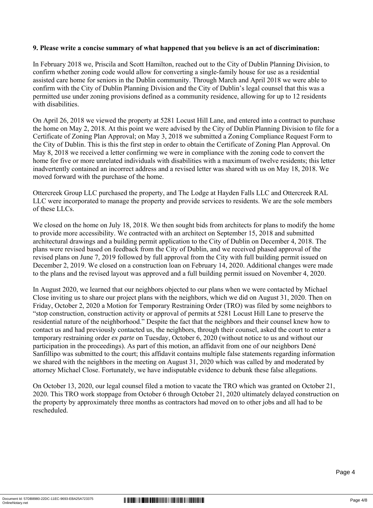## **9. Please write a concise summary of what happened that you believe is an act of discrimination:**

In February 2018 we, Priscila and Scott Hamilton, reached out to the City of Dublin Planning Division, to confirm whether zoning code would allow for converting a single-family house for use as a residential assisted care home for seniors in the Dublin community. Through March and April 2018 we were able to confirm with the City of Dublin Planning Division and the City of Dublin's legal counsel that this was a permitted use under zoning provisions defined as a community residence, allowing for up to 12 residents with disabilities.

On April 26, 2018 we viewed the property at 5281 Locust Hill Lane, and entered into a contract to purchase the home on May 2, 2018. At this point we were advised by the City of Dublin Planning Division to file for a Certificate of Zoning Plan Approval; on May 3, 2018 we submitted a Zoning Compliance Request Form to the City of Dublin. This is this the first step in order to obtain the Certificate of Zoning Plan Approval. On May 8, 2018 we received a letter confirming we were in compliance with the zoning code to convert the home for five or more unrelated individuals with disabilities with a maximum of twelve residents; this letter inadvertently contained an incorrect address and a revised letter was shared with us on May 18, 2018. We moved forward with the purchase of the home.

Ottercreek Group LLC purchased the property, and The Lodge at Hayden Falls LLC and Ottercreek RAL LLC were incorporated to manage the property and provide services to residents. We are the sole members of these LLCs.

We closed on the home on July 18, 2018. We then sought bids from architects for plans to modify the home to provide more accessibility. We contracted with an architect on September 15, 2018 and submitted architectural drawings and a building permit application to the City of Dublin on December 4, 2018. The plans were revised based on feedback from the City of Dublin, and we received phased approval of the revised plans on June 7, 2019 followed by full approval from the City with full building permit issued on December 2, 2019. We closed on a construction loan on February 14, 2020. Additional changes were made to the plans and the revised layout was approved and a full building permit issued on November 4, 2020.

In August 2020, we learned that our neighbors objected to our plans when we were contacted by Michael Close inviting us to share our project plans with the neighbors, which we did on August 31, 2020. Then on Friday, October 2, 2020 a Motion for Temporary Restraining Order (TRO) was filed by some neighbors to "stop construction, construction activity or approval of permits at 5281 Locust Hill Lane to preserve the residential nature of the neighborhood." Despite the fact that the neighbors and their counsel knew how to contact us and had previously contacted us, the neighbors, through their counsel, asked the court to enter a temporary restraining order *ex parte* on Tuesday, October 6, 2020 (without notice to us and without our participation in the proceedings). As part of this motion, an affidavit from one of our neighbors Dené Sanfillipo was submitted to the court; this affidavit contains multiple false statements regarding information we shared with the neighbors in the meeting on August 31, 2020 which was called by and moderated by attorney Michael Close. Fortunately, we have indisputable evidence to debunk these false allegations.

On October 13, 2020, our legal counsel filed a motion to vacate the TRO which was granted on October 21, 2020. This TRO work stoppage from October 6 through October 21, 2020 ultimately delayed construction on the property by approximately three months as contractors had moved on to other jobs and all had to be rescheduled.

Page 4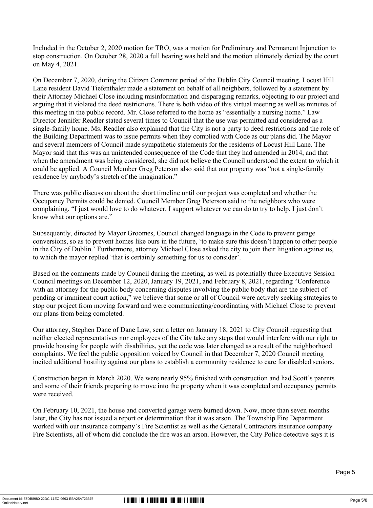Included in the October 2, 2020 motion for TRO, was a motion for Preliminary and Permanent Injunction to stop construction. On October 28, 2020 a full hearing was held and the motion ultimately denied by the court on May 4, 2021.

On December 7, 2020, during the Citizen Comment period of the Dublin City Council meeting, Locust Hill Lane resident David Tiefenthaler made a statement on behalf of all neighbors, followed by a statement by their Attorney Michael Close including misinformation and disparaging remarks, objecting to our project and arguing that it violated the deed restrictions. There is both video of this virtual meeting as well as minutes of this meeting in the public record. Mr. Close referred to the home as "essentially a nursing home." Law Director Jennifer Readler stated several times to Council that the use was permitted and considered as a single-family home. Ms. Readler also explained that the City is not a party to deed restrictions and the role of the Building Department was to issue permits when they complied with Code as our plans did. The Mayor and several members of Council made sympathetic statements for the residents of Locust Hill Lane. The Mayor said that this was an unintended consequence of the Code that they had amended in 2014, and that when the amendment was being considered, she did not believe the Council understood the extent to which it could be applied. A Council Member Greg Peterson also said that our property was "not a single-family residence by anybody's stretch of the imagination."

There was public discussion about the short timeline until our project was completed and whether the Occupancy Permits could be denied. Council Member Greg Peterson said to the neighbors who were complaining, "I just would love to do whatever, I support whatever we can do to try to help, I just don't know what our options are."

Subsequently, directed by Mayor Groomes, Council changed language in the Code to prevent garage conversions, so as to prevent homes like ours in the future, 'to make sure this doesn't happen to other people in the City of Dublin.' Furthermore, attorney Michael Close asked the city to join their litigation against us, to which the mayor replied 'that is certainly something for us to consider'.

Based on the comments made by Council during the meeting, as well as potentially three Executive Session Council meetings on December 12, 2020, January 19, 2021, and February 8, 2021, regarding "Conference with an attorney for the public body concerning disputes involving the public body that are the subject of pending or imminent court action," we believe that some or all of Council were actively seeking strategies to stop our project from moving forward and were communicating/coordinating with Michael Close to prevent our plans from being completed.

Our attorney, Stephen Dane of Dane Law, sent a letter on January 18, 2021 to City Council requesting that neither elected representatives nor employees of the City take any steps that would interfere with our right to provide housing for people with disabilities, yet the code was later changed as a result of the neighborhood complaints. We feel the public opposition voiced by Council in that December 7, 2020 Council meeting incited additional hostility against our plans to establish a community residence to care for disabled seniors.

Construction began in March 2020. We were nearly 95% finished with construction and had Scott's parents and some of their friends preparing to move into the property when it was completed and occupancy permits were received.

On February 10, 2021, the house and converted garage were burned down. Now, more than seven months later, the City has not issued a report or determination that it was arson. The Township Fire Department worked with our insurance company's Fire Scientist as well as the General Contractors insurance company Fire Scientists, all of whom did conclude the fire was an arson. However, the City Police detective says it is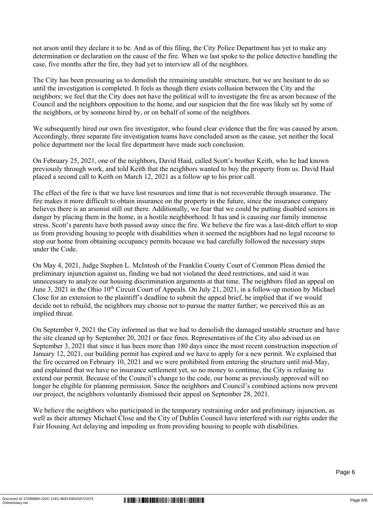not arson until they declare it to be. And as of this filing, the City Police Department has yet to make any determination or declaration on the cause of the fire. When we last spoke to the police detective handling the case, five months after the fire, they had yet to interview all of the neighbors.

The City has been pressuring us to demolish the remaining unstable structure, but we are hesitant to do so until the investigation is completed. It feels as though there exists collusion between the City and the neighbors; we feel that the City does not have the political will to investigate the fire as arson because of the Council and the neighbors opposition to the home, and our suspicion that the fire was likely set by some of the neighbors, or by someone hired by, or on behalf of some of the neighbors.

We subsequently hired our own fire investigator, who found clear evidence that the fire was caused by arson. Accordingly, three separate fire investigation teams have concluded arson as the cause, yet neither the local police department nor the local fire department have made such conclusion.

On February 25, 2021, one of the neighbors, David Haid, called Scott's brother Keith, who he had known previously through work, and told Keith that the neighbors wanted to buy the property from us. David Haid placed a second call to Keith on March 12, 2021 as a follow up to his prior call.

The effect of the fire is that we have lost resources and time that is not recoverable through insurance. The fire makes it more difficult to obtain insurance on the property in the future, since the insurance company believes there is an arsonist still out there. Additionally, we fear that we could be putting disabled seniors in danger by placing them in the home, in a hostile neighborhood. It has and is causing our family immense stress. Scott's parents have both passed away since the fire. We believe the fire was a last-ditch effort to stop us from providing housing to people with disabilities when it seemed the neighbors had no legal recourse to stop our home from obtaining occupancy permits because we had carefully followed the necessary steps under the Code.

On May 4, 2021, Judge Stephen L. McIntosh of the Franklin County Court of Common Pleas denied the preliminary injunction against us, finding we had not violated the deed restrictions, and said it was unnecessary to analyze our housing discrimination arguments at that time. The neighbors filed an appeal on June 3, 2021 in the Ohio 10<sup>th</sup> Circuit Court of Appeals. On July 21, 2021, in a follow-up motion by Michael Close for an extension to the plaintiff's deadline to submit the appeal brief, he implied that if we would decide not to rebuild, the neighbors may choose not to pursue the matter further; we perceived this as an implied threat.

On September 9, 2021 the City informed us that we had to demolish the damaged unstable structure and have the site cleaned up by September 20, 2021 or face fines. Representatives of the City also advised us on September 3, 2021 that since it has been more than 180 days since the most recent construction inspection of January 12, 2021, our building permit has expired and we have to apply for a new permit. We explained that the fire occurred on February 10, 2021 and we were prohibited from entering the structure until mid-May, and explained that we have no insurance settlement yet, so no money to continue, the City is refusing to extend our permit. Because of the Council's change to the code, our home as previously approved will no longer be eligible for planning permission. Since the neighbors and Council's combined actions now prevent our project, the neighbors voluntarily dismissed their appeal on September 28, 2021.

We believe the neighbors who participated in the temporary restraining order and preliminary injunction, as well as their attorney Michael Close and the City of Dublin Council have interfered with our rights under the Fair Housing Act delaying and impeding us from providing housing to people with disabilities.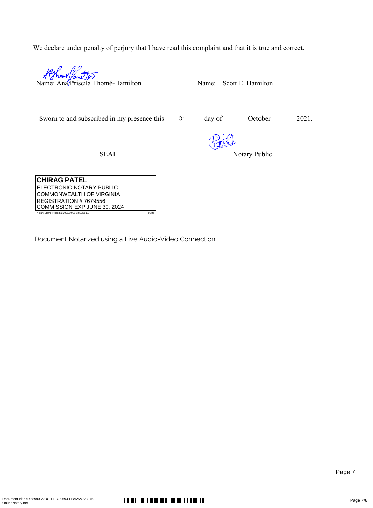We declare under penalty of perjury that I have read this complaint and that it is true and correct.

| Name: Ana/Priscila Thomé-Hamilton                                           |                | Name:  | Scott E. Hamilton |       |
|-----------------------------------------------------------------------------|----------------|--------|-------------------|-------|
| Sworn to and subscribed in my presence this                                 | O <sub>1</sub> | day of | October           | 2021. |
| <b>SEAL</b>                                                                 |                |        | Notary Public     |       |
| <b>CHIRAG PATEL</b><br>ELECTRONIC NOTARY PUBLIC<br>COMMONWEALTH OF VIRGINIA |                |        |                   |       |

Document Notarized using a Live Audio-Video Connection

REGISTRATION # 7679556 COMMISSION EXP JUNE 30, 2024

ny Stamp Placed at 2021/10/01 13:52:58 EST

j.

Page 7

 $\begin{array}{l} \textbf{|||||} \textbf{|||||} \textbf{|||} \textbf{|||} \textbf{||} \textbf{||} \textbf{||} \textbf{||} \textbf{||} \textbf{||} \textbf{||} \textbf{||} \textbf{||} \textbf{||} \textbf{||} \textbf{||} \textbf{||} \textbf{||} \textbf{||} \textbf{||} \textbf{||} \textbf{||} \textbf{||} \textbf{||} \textbf{||} \textbf{||} \textbf{||} \textbf{||} \textbf{||} \textbf{||} \textbf{||} \textbf{||} \textbf{||} \textbf{||} \textbf$